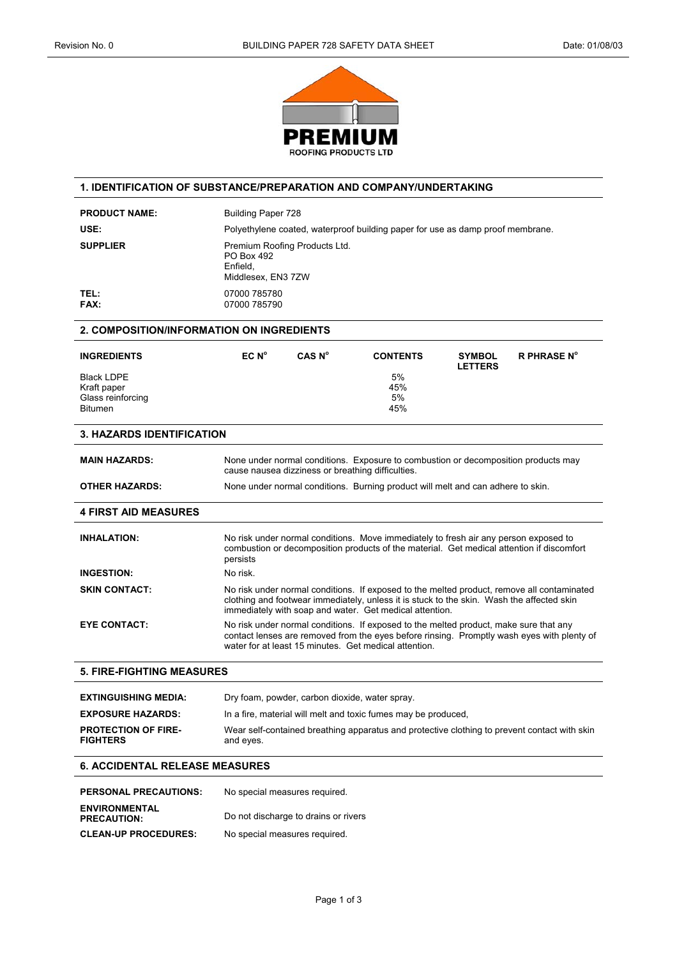

#### **1. IDENTIFICATION OF SUBSTANCE/PREPARATION AND COMPANY/UNDERTAKING**

| <b>PRODUCT NAME:</b> | Building Paper 728                                                             |
|----------------------|--------------------------------------------------------------------------------|
| USE:                 | Polyethylene coated, waterproof building paper for use as damp proof membrane. |
| <b>SUPPLIER</b>      | Premium Roofing Products Ltd.<br>PO Box 492<br>Enfield.<br>Middlesex, EN3 7ZW  |
| TEL:<br><b>FAX:</b>  | 07000 785780<br>07000 785790                                                   |

### **2. COMPOSITION/INFORMATION ON INGREDIENTS**

| <b>INGREDIENTS</b>                                                      | EC N <sup>o</sup> | CAS N° | <b>CONTENTS</b>                                                                    | <b>SYMBOL</b><br><b>LETTERS</b> | <b>R PHRASE N°</b> |
|-------------------------------------------------------------------------|-------------------|--------|------------------------------------------------------------------------------------|---------------------------------|--------------------|
| <b>Black LDPE</b><br>Kraft paper<br>Glass reinforcing<br><b>Bitumen</b> |                   |        | 5%<br>45%<br>5%<br>45%                                                             |                                 |                    |
| <b>3. HAZARDS IDENTIFICATION</b>                                        |                   |        |                                                                                    |                                 |                    |
| <b>MAIN HAZARDS:</b>                                                    |                   |        | None under normal conditions. Exposure to combustion or decomposition products may |                                 |                    |

|                       | cause nausea dizziness or breathing difficulties.                               |
|-----------------------|---------------------------------------------------------------------------------|
| <b>OTHER HAZARDS:</b> | None under normal conditions. Burning product will melt and can adhere to skin. |

# **4 FIRST AID MEASURES**

| <b>INHALATION:</b>   | No risk under normal conditions. Move immediately to fresh air any person exposed to<br>combustion or decomposition products of the material. Get medical attention if discomfort<br>persists                                                      |
|----------------------|----------------------------------------------------------------------------------------------------------------------------------------------------------------------------------------------------------------------------------------------------|
| <b>INGESTION:</b>    | No risk.                                                                                                                                                                                                                                           |
| <b>SKIN CONTACT:</b> | No risk under normal conditions. If exposed to the melted product, remove all contaminated<br>clothing and footwear immediately, unless it is stuck to the skin. Wash the affected skin<br>immediately with soap and water. Get medical attention. |
| <b>EYE CONTACT:</b>  | No risk under normal conditions. If exposed to the melted product, make sure that any<br>contact lenses are removed from the eyes before rinsing. Promptly wash eyes with plenty of<br>water for at least 15 minutes. Get medical attention.       |

#### **5. FIRE-FIGHTING MEASURES**

| <b>EXTINGUISHING MEDIA:</b>                   | Dry foam, powder, carbon dioxide, water spray.                                                            |
|-----------------------------------------------|-----------------------------------------------------------------------------------------------------------|
| <b>EXPOSURE HAZARDS:</b>                      | In a fire, material will melt and toxic fumes may be produced.                                            |
| <b>PROTECTION OF FIRE-</b><br><b>FIGHTERS</b> | Wear self-contained breathing apparatus and protective clothing to prevent contact with skin<br>and eyes. |

### **6. ACCIDENTAL RELEASE MEASURES**

| <b>PERSONAL PRECAUTIONS:</b>               | No special measures required.        |
|--------------------------------------------|--------------------------------------|
| <b>ENVIRONMENTAL</b><br><b>PRECAUTION:</b> | Do not discharge to drains or rivers |
| <b>CLEAN-UP PROCEDURES:</b>                | No special measures required.        |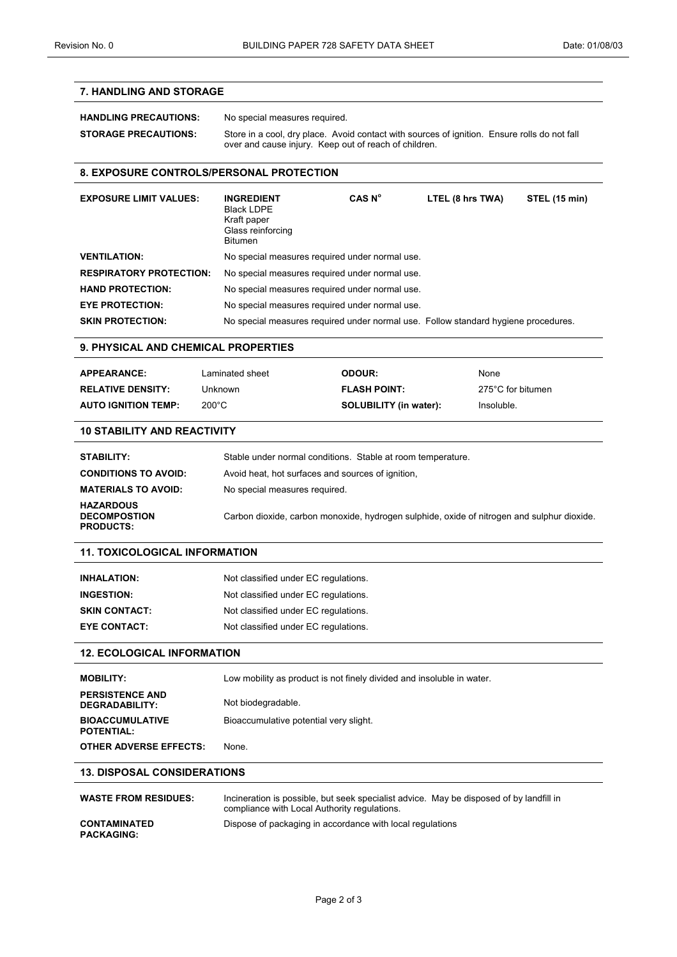## **7. HANDLING AND STORAGE**

| <b>HANDLING PRECAUTIONS:</b> | No special measures required.                                                                                                                         |
|------------------------------|-------------------------------------------------------------------------------------------------------------------------------------------------------|
| <b>STORAGE PRECAUTIONS:</b>  | Store in a cool, dry place. Avoid contact with sources of ignition. Ensure rolls do not fall<br>over and cause injury. Keep out of reach of children. |

#### **8. EXPOSURE CONTROLS/PERSONAL PROTECTION**

| <b>EXPOSURE LIMIT VALUES:</b>  | <b>INGREDIENT</b><br><b>Black LDPE</b><br>Kraft paper<br>Glass reinforcing<br><b>Bitumen</b> | CAS N <sup>o</sup> | LTEL (8 hrs TWA) | STEL (15 min) |
|--------------------------------|----------------------------------------------------------------------------------------------|--------------------|------------------|---------------|
| <b>VENTILATION:</b>            | No special measures required under normal use.                                               |                    |                  |               |
| <b>RESPIRATORY PROTECTION:</b> | No special measures required under normal use.                                               |                    |                  |               |
| <b>HAND PROTECTION:</b>        | No special measures required under normal use.                                               |                    |                  |               |
| <b>EYE PROTECTION:</b>         | No special measures required under normal use.                                               |                    |                  |               |
| <b>SKIN PROTECTION:</b>        | No special measures required under normal use. Follow standard hygiene procedures.           |                    |                  |               |

#### **9. PHYSICAL AND CHEMICAL PROPERTIES**

| <b>APPEARANCE:</b>         | Laminated sheet | <b>ODOUR:</b>                 | None              |
|----------------------------|-----------------|-------------------------------|-------------------|
| <b>RELATIVE DENSITY:</b>   | Unknown         | <b>FLASH POINT:</b>           | 275°C for bitumen |
| <b>AUTO IGNITION TEMP:</b> | $200^{\circ}$ C | <b>SOLUBILITY (in water):</b> | Insoluble.        |

## **10 STABILITY AND REACTIVITY**

| STABILITY:                                                  | Stable under normal conditions. Stable at room temperature.                                |
|-------------------------------------------------------------|--------------------------------------------------------------------------------------------|
| <b>CONDITIONS TO AVOID:</b>                                 | Avoid heat, hot surfaces and sources of ignition.                                          |
| <b>MATERIALS TO AVOID:</b>                                  | No special measures required.                                                              |
| <b>HAZARDOUS</b><br><b>DECOMPOSTION</b><br><b>PRODUCTS:</b> | Carbon dioxide, carbon monoxide, hydrogen sulphide, oxide of nitrogen and sulphur dioxide. |

## **11. TOXICOLOGICAL INFORMATION**

| <b>INHALATION:</b>   | Not classified under EC regulations. |
|----------------------|--------------------------------------|
| <b>INGESTION:</b>    | Not classified under EC regulations. |
| <b>SKIN CONTACT:</b> | Not classified under EC regulations. |
| <b>EYE CONTACT:</b>  | Not classified under EC regulations. |

## **12. ECOLOGICAL INFORMATION**

| <b>MOBILITY:</b>                            | Low mobility as product is not finely divided and insoluble in water. |
|---------------------------------------------|-----------------------------------------------------------------------|
| <b>PERSISTENCE AND</b><br>DEGRADABILITY:    | Not biodegradable.                                                    |
| <b>BIOACCUMULATIVE</b><br><b>POTENTIAL:</b> | Bioaccumulative potential very slight.                                |
| <b>OTHER ADVERSE EFFECTS:</b>               | None.                                                                 |

## **13. DISPOSAL CONSIDERATIONS**

| <b>WASTE FROM RESIDUES:</b>              | Incineration is possible, but seek specialist advice. May be disposed of by landfill in<br>compliance with Local Authority regulations. |
|------------------------------------------|-----------------------------------------------------------------------------------------------------------------------------------------|
| <b>CONTAMINATED</b><br><b>PACKAGING:</b> | Dispose of packaging in accordance with local regulations                                                                               |